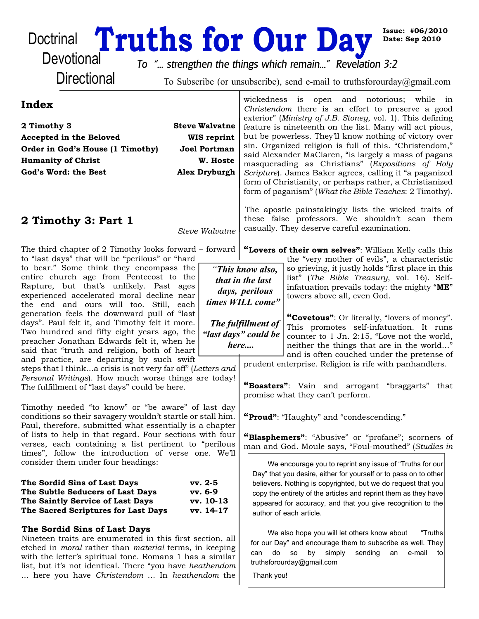# Doctrinal **Truths for Our Day**<br>Devotional To "strepgthen the things which remain " Revelation

**Issue: #06/2010 Date: Sep 2010**

**Directional** 

*To "... strengthen the things which remain..." Revelation 3:2*

To Subscribe (or unsubscribe), send e-mail to truthsforourday@gmail.com

| Index                                                                                                                                                                                                                                                                                                                                     | wickedness is open and notorious; while in<br>Christendom there is an effort to preserve a good                                                                                                                                                                                                                                                            |
|-------------------------------------------------------------------------------------------------------------------------------------------------------------------------------------------------------------------------------------------------------------------------------------------------------------------------------------------|------------------------------------------------------------------------------------------------------------------------------------------------------------------------------------------------------------------------------------------------------------------------------------------------------------------------------------------------------------|
| <b>Steve Walvatne</b><br>2 Timothy 3                                                                                                                                                                                                                                                                                                      | exterior" (Ministry of J.B. Stoney, vol. 1). This defining<br>feature is nineteenth on the list. Many will act pious,                                                                                                                                                                                                                                      |
| <b>WIS</b> reprint<br>Accepted in the Beloved                                                                                                                                                                                                                                                                                             | but be powerless. They'll know nothing of victory over                                                                                                                                                                                                                                                                                                     |
| Order in God's House (1 Timothy)<br>Joel Portman                                                                                                                                                                                                                                                                                          | sin. Organized religion is full of this. "Christendom,"                                                                                                                                                                                                                                                                                                    |
| <b>Humanity of Christ</b><br>W. Hoste                                                                                                                                                                                                                                                                                                     | said Alexander MaClaren, "is largely a mass of pagans                                                                                                                                                                                                                                                                                                      |
| <b>Alex Dryburgh</b><br>God's Word: the Best                                                                                                                                                                                                                                                                                              | masquerading as Christians" (Expositions of Holy<br>Scripture). James Baker agrees, calling it "a paganized                                                                                                                                                                                                                                                |
|                                                                                                                                                                                                                                                                                                                                           | form of Christianity, or perhaps rather, a Christianized<br>form of paganism" (What the Bible Teaches: 2 Timothy).                                                                                                                                                                                                                                         |
| 2 Timothy 3: Part 1<br>Steve Walvatne                                                                                                                                                                                                                                                                                                     | The apostle painstakingly lists the wicked traits of<br>these false professors. We shouldn't scan them<br>casually. They deserve careful examination.                                                                                                                                                                                                      |
| The third chapter of 2 Timothy looks forward – forward<br>to "last days" that will be "perilous" or "hard                                                                                                                                                                                                                                 | "Lovers of their own selves": William Kelly calls this<br>the "very mother of evils", a characteristic                                                                                                                                                                                                                                                     |
| to bear." Some think they encompass the<br>entire church age from Pentecost to the<br>Rapture, but that's unlikely. Past ages<br>experienced accelerated moral decline near<br>the end and ours will too. Still, each                                                                                                                     | so grieving, it justly holds "first place in this<br>"This know also,<br>list" (The Bible Treasury, vol. 16). Self-<br>that in the last<br>infatuation prevails today: the mighty "ME"<br>days, perilous<br>towers above all, even God.<br>times WILL come"                                                                                                |
| generation feels the downward pull of "last<br>days". Paul felt it, and Timothy felt it more.<br>Two hundred and fifty eight years ago, the<br>preacher Jonathan Edwards felt it, when he<br>said that "truth and religion, both of heart<br>and practice, are departing by such swift                                                    | "Covetous": Or literally, "lovers of money".<br>The fulfillment of<br>This promotes self-infatuation. It runs<br>"last days" could be<br>counter to 1 Jn. 2:15, "Love not the world,<br>here<br>neither the things that are in the world"<br>and is often couched under the pretense of                                                                    |
| steps that I thinka crisis is not very far off" (Letters and<br>Personal Writings). How much worse things are today!<br>The fulfillment of "last days" could be here.                                                                                                                                                                     | prudent enterprise. Religion is rife with panhandlers.<br>"Boasters": Vain and arrogant "braggarts"<br>that<br>promise what they can't perform.                                                                                                                                                                                                            |
| Timothy needed "to know" or "be aware" of last day<br>conditions so their savagery wouldn't startle or stall him.<br>Paul, therefore, submitted what essentially is a chapter<br>of lists to help in that regard. Four sections with four<br>verses, each containing a list pertinent to "perilous                                        | "Proud": "Haughty" and "condescending."<br>"Blasphemers": "Abusive" or "profane"; scorners of<br>man and God. Moule says, "Foul-mouthed" (Studies in                                                                                                                                                                                                       |
| times", follow the introduction of verse one. We'll<br>consider them under four headings:<br>The Sordid Sins of Last Days<br>$vv. 2-5$<br>The Subtle Seducers of Last Days<br>vv. 6-9<br>The Saintly Service of Last Days<br>vv. 10-13<br>The Sacred Scriptures for Last Days<br>vv. 14-17                                                | We encourage you to reprint any issue of "Truths for our<br>Day" that you desire, either for yourself or to pass on to other<br>believers. Nothing is copyrighted, but we do request that you<br>copy the entirety of the articles and reprint them as they have<br>appeared for accuracy, and that you give recognition to the<br>author of each article. |
| The Sordid Sins of Last Days<br>Nineteen traits are enumerated in this first section, all<br>etched in <i>moral</i> rather than <i>material</i> terms, in keeping<br>with the letter's spiritual tone. Romans 1 has a similar<br>list, but it's not identical. There "you have heathendom<br>here you have Christendom  In heathendom the | We also hope you will let others know about<br>"Truths<br>for our Day" and encourage them to subscribe as well. They<br>simply<br>can do<br><b>SO</b><br>by<br>sending<br>e-mail<br>an<br>to<br>truthsforourday@gmail.com<br>Thank you!                                                                                                                    |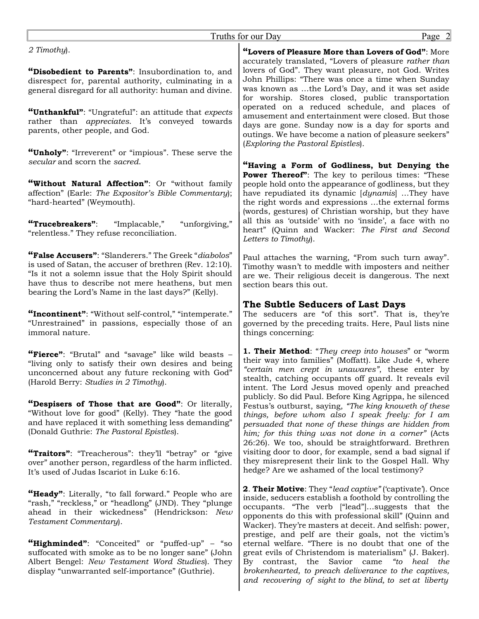| Page 2<br>Truths for our Day                                                                                                                                                                                                                                                                                                                                                                                                                                                                                                                                                            |                                                                                                                                                                                                                                                                                                                                                                                                                                                                                                                                                                                                                                                                                                                                                                                                  |
|-----------------------------------------------------------------------------------------------------------------------------------------------------------------------------------------------------------------------------------------------------------------------------------------------------------------------------------------------------------------------------------------------------------------------------------------------------------------------------------------------------------------------------------------------------------------------------------------|--------------------------------------------------------------------------------------------------------------------------------------------------------------------------------------------------------------------------------------------------------------------------------------------------------------------------------------------------------------------------------------------------------------------------------------------------------------------------------------------------------------------------------------------------------------------------------------------------------------------------------------------------------------------------------------------------------------------------------------------------------------------------------------------------|
| 2 Timothy).<br>"Disobedient to Parents": Insubordination to, and<br>disrespect for, parental authority, culminating in a<br>general disregard for all authority: human and divine.<br>"Unthankful": "Ungrateful": an attitude that expects<br>rather than appreciates. It's conveyed towards<br>parents, other people, and God.<br>"Unholy": "Irreverent" or "impious". These serve the                                                                                                                                                                                                 | "Lovers of Pleasure More than Lovers of God": More<br>accurately translated, "Lovers of pleasure rather than<br>lovers of God". They want pleasure, not God. Writes<br>John Phillips: "There was once a time when Sunday<br>was known as the Lord's Day, and it was set aside<br>for worship. Stores closed, public transportation<br>operated on a reduced schedule, and places of<br>amusement and entertainment were closed. But those<br>days are gone. Sunday now is a day for sports and<br>outings. We have become a nation of pleasure seekers"<br>(Exploring the Pastoral Epistles).                                                                                                                                                                                                    |
| secular and scorn the sacred.<br>"Without Natural Affection": Or "without family<br>affection" (Earle: The Expositor's Bible Commentary);<br>"hard-hearted" (Weymouth).<br>"Trucebreakers":<br>"unforgiving,"<br>"Implacable,"<br>"relentless." They refuse reconciliation.                                                                                                                                                                                                                                                                                                             | "Having a Form of Godliness, but Denying the<br><b>Power Thereof":</b> The key to perilous times: "These<br>people hold onto the appearance of godliness, but they<br>have repudiated its dynamic [dynamis] They have<br>the right words and expressions the external forms<br>(words, gestures) of Christian worship, but they have<br>all this as 'outside' with no 'inside', a face with no<br>heart" (Quinn and Wacker: The First and Second<br>Letters to Timothy).                                                                                                                                                                                                                                                                                                                         |
| "False Accusers": "Slanderers." The Greek "diabolos"<br>is used of Satan, the accuser of brethren (Rev. 12:10).<br>"Is it not a solemn issue that the Holy Spirit should<br>have thus to describe not mere heathens, but men<br>bearing the Lord's Name in the last days?" (Kelly).                                                                                                                                                                                                                                                                                                     | Paul attaches the warning, "From such turn away".<br>Timothy wasn't to meddle with imposters and neither<br>are we. Their religious deceit is dangerous. The next<br>section bears this out.                                                                                                                                                                                                                                                                                                                                                                                                                                                                                                                                                                                                     |
| "Incontinent": "Without self-control," "intemperate."<br>"Unrestrained" in passions, especially those of an<br>immoral nature.                                                                                                                                                                                                                                                                                                                                                                                                                                                          | The Subtle Seducers of Last Days<br>The seducers are "of this sort". That is, they're<br>governed by the preceding traits. Here, Paul lists nine<br>things concerning:                                                                                                                                                                                                                                                                                                                                                                                                                                                                                                                                                                                                                           |
| "Fierce": "Brutal" and "savage" like wild beasts -<br>"living only to satisfy their own desires and being<br>unconcerned about any future reckoning with God"<br>(Harold Berry: Studies in 2 Timothy).<br>"Despisers of Those that are Good": Or literally,<br>"Without love for good" (Kelly). They "hate the good<br>and have replaced it with something less demanding"<br>(Donald Guthrie: The Pastoral Epistles).<br>"Traitors": "Treacherous": they'll "betray" or "give"<br>over" another person, regardless of the harm inflicted.<br>It's used of Judas Iscariot in Luke 6:16. | 1. Their Method: "They creep into houses" or "worm<br>their way into families" (Moffatt). Like Jude 4, where<br>"certain men crept in unawares", these enter by<br>stealth, catching occupants off guard. It reveals evil<br>intent. The Lord Jesus moved openly and preached<br>publicly. So did Paul. Before King Agrippa, he silenced<br>Festus's outburst, saying, "The king knoweth of these<br>things, before whom also I speak freely: for I am<br>persuaded that none of these things are hidden from<br>him; for this thing was not done in a corner" (Acts<br>26:26). We too, should be straightforward. Brethren<br>visiting door to door, for example, send a bad signal if<br>they misrepresent their link to the Gospel Hall. Why<br>hedge? Are we ashamed of the local testimony? |
| "Heady": Literally, "to fall forward." People who are<br>"rash," "reckless," or "headlong" (JND). They "plunge<br>ahead in their wickedness" (Hendrickson: New<br>Testament Commentary).<br>"Highminded": "Conceited" or "puffed-up" - "so<br>suffocated with smoke as to be no longer sane" (John<br>Albert Bengel: New Testament Word Studies). They<br>display "unwarranted self-importance" (Guthrie).                                                                                                                                                                              | <b>2. Their Motive:</b> They "lead captive" ('captivate'). Once<br>inside, seducers establish a foothold by controlling the<br>occupants. "The verb ["lead"]suggests that the<br>opponents do this with professional skill" (Quinn and<br>Wacker). They're masters at deceit. And selfish: power,<br>prestige, and pelf are their goals, not the victim's<br>eternal welfare. "There is no doubt that one of the<br>great evils of Christendom is materialism" (J. Baker).<br>Savior came<br>"to heal the<br>By contrast,<br>the<br>brokenhearted, to preach deliverance to the captives,<br>and recovering of sight to the blind, to set at liberty                                                                                                                                             |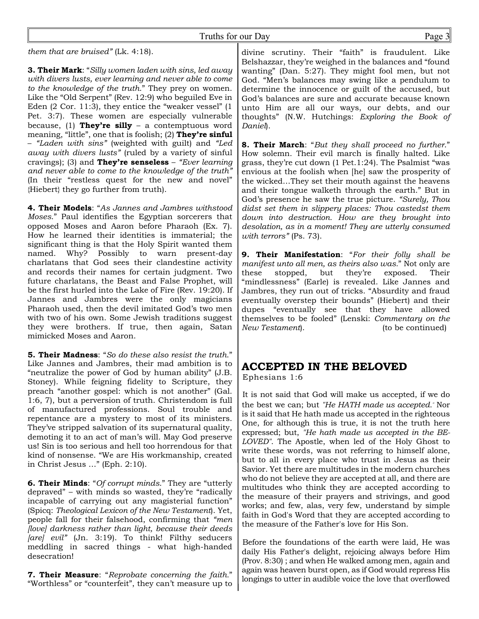#### Truths for our Day Page 3

*them that are bruised"* (Lk. 4:18).

**3. Their Mark**: "*Silly women laden with sins, led away with divers lusts, ever learning and never able to come to the knowledge of the truth*." They prey on women. Like the "Old Serpent" (Rev. 12:9) who beguiled Eve in Eden (2 Cor. 11:3), they entice the "weaker vessel" (1 Pet. 3:7). These women are especially vulnerable because, (1) **They're silly** – a contemptuous word meaning, "little", one that is foolish; (2) **They're sinful** – *"Laden with sins"* (weighted with guilt) and *"Led away with divers lusts"* (ruled by a variety of sinful cravings); (3) and **They're senseless** – *"Ever learning and never able to come to the knowledge of the truth"* (In their "restless quest for the new and novel" {Hiebert} they go further from truth).

**4. Their Models**: "*As Jannes and Jambres withstood Moses*." Paul identifies the Egyptian sorcerers that opposed Moses and Aaron before Pharaoh (Ex. 7). How he learned their identities is immaterial; the significant thing is that the Holy Spirit wanted them named. Why? Possibly to warn present-day charlatans that God sees their clandestine activity and records their names for certain judgment. Two future charlatans, the Beast and False Prophet, will be the first hurled into the Lake of Fire (Rev. 19:20). If Jannes and Jambres were the only magicians Pharaoh used, then the devil imitated God's two men with two of his own. Some Jewish traditions suggest they were brothers. If true, then again, Satan mimicked Moses and Aaron.

**5. Their Madness**: "*So do these also resist the truth*." Like Jannes and Jambres, their mad ambition is to "neutralize the power of God by human ability" (J.B. Stoney). While feigning fidelity to Scripture, they preach "another gospel: which is not another" (Gal. 1:6, 7), but a perversion of truth. Christendom is full of manufactured professions. Soul trouble and repentance are a mystery to most of its ministers. They've stripped salvation of its supernatural quality, demoting it to an act of man's will. May God preserve us! Sin is too serious and hell too horrendous for that kind of nonsense. "We are His workmanship, created in Christ Jesus …" (Eph. 2:10).

**6. Their Minds**: "*Of corrupt minds*." They are "utterly depraved" – with minds so wasted, they're "radically incapable of carrying out any magisterial function" (Spicq: *Theological Lexicon of the New Testament*). Yet, people fall for their falsehood, confirming that *"men [love] darkness rather than light, because their deeds [are] evil"* (Jn. 3:19). To think! Filthy seducers meddling in sacred things - what high-handed desecration!

**7. Their Measure**: "*Reprobate concerning the faith.*" "Worthless" or "counterfeit", they can't measure up to

divine scrutiny. Their "faith" is fraudulent. Like Belshazzar, they're weighed in the balances and "found wanting" (Dan. 5:27). They might fool men, but not God. "Men's balances may swing like a pendulum to determine the innocence or guilt of the accused, but God's balances are sure and accurate because known unto Him are all our ways, our debts, and our thoughts" (N.W. Hutchings: *Exploring the Book of Daniel*).

**8. Their March**: "*But they shall proceed no further*." How solemn. Their evil march is finally halted. Like grass, they're cut down (1 Pet.1:24). The Psalmist "was envious at the foolish when [he] saw the prosperity of the wicked…They set their mouth against the heavens and their tongue walketh through the earth." But in God's presence he saw the true picture. *"Surely, Thou didst set them in slippery places: Thou castedst them down into destruction. How are they brought into desolation, as in a moment! They are utterly consumed with terrors"* (Ps. 73).

**9. Their Manifestation**: "*For their folly shall be manifest unto all men, as theirs also was.*" Not only are these stopped, but they're exposed. Their "mindlessness" (Earle) is revealed. Like Jannes and Jambres, they run out of tricks. "Absurdity and fraud eventually overstep their bounds" (Hiebert) and their dupes "eventually see that they have allowed themselves to be fooled" (Lenski: *Commentary on the New Testament*). (to be continued)

## **ACCEPTED IN THE BELOVED**

Ephesians 1:6

It is not said that God will make us accepted, if we do the best we can; but *"He HATH made us accepted."* Nor is it said that He hath made us accepted in the righteous One, for although this is true, it is not the truth here expressed; but, *"He hath made us accepted in the BE-LOVED"*. The Apostle, when led of the Holy Ghost to write these words, was not referring to himself alone, but to all in every place who trust in Jesus as their Savior. Yet there are multitudes in the modern churches who do not believe they are accepted at all, and there are multitudes who think they are accepted according to the measure of their prayers and strivings, and good works; and few, alas, very few, understand by simple faith in God's Word that they are accepted according to the measure of the Father's love for His Son.

Before the foundations of the earth were laid, He was daily His Father's delight, rejoicing always before Him (Prov. 8:30) ; and when He walked among men, again and again was heaven burst open, as if God would repress His longings to utter in audible voice the love that overflowed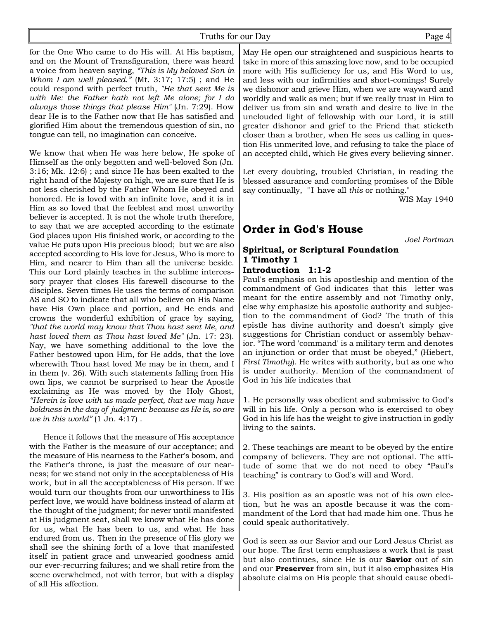for the One Who came to do His will. At His baptism, and on the Mount of Transfiguration, there was heard a voice from heaven saying, *"This is My beloved Son in Whom I am well pleased."* (Mt. 3:17; 17:5) ; and He could respond with perfect truth, *"He that sent Me is with Me: the Father hath not left Me alone; for I do always those things that please Him"* (Jn. 7:29). How dear He is to the Father now that He has satisfied and glorified Him about the tremendous question of sin, no tongue can tell, no imagination can conceive.

We know that when He was here below, He spoke of Himself as the only begotten and well-beloved Son (Jn. 3:16; Mk. 12:6) ; and since He has been exalted to the right hand of the Majesty on high, we are sure that He is not less cherished by the Father Whom He obeyed and honored. He is loved with an infinite love, and it is in Him as so loved that the feeblest and most unworthy believer is accepted. It is not the whole truth therefore, to say that we are accepted according to the estimate God places upon His finished work, or according to the value He puts upon His precious blood; but we are also accepted according to His love for Jesus, Who is more to Him, and nearer to Him than all the universe beside. This our Lord plainly teaches in the sublime intercessory prayer that closes His farewell discourse to the disciples. Seven times He uses the terms of comparison AS and SO to indicate that all who believe on His Name have His Own place and portion, and He ends and crowns the wonderful exhibition of grace by saying, *"that the world may know that Thou hast sent Me, and hast loved them as Thou hast loved Me"* (Jn. 17: 23). Nay, we have something additional to the love the Father bestowed upon Him, for He adds, that the love wherewith Thou hast loved Me may be in them, and I in them (v. 26). With such statements falling from His own lips, we cannot be surprised to hear the Apostle exclaiming as He was moved by the Holy Ghost, *"Herein is love with us made perfect, that we may have boldness in the day of judgment: because as He is, so are we in this world"* (1 Jn. 4:17) .

Hence it follows that the measure of His acceptance with the Father is the measure of our acceptance; and the measure of His nearness to the Father's bosom, and the Father's throne, is just the measure of our nearness; for we stand not only in the acceptableness of His work, but in all the acceptableness of His person. If we would turn our thoughts from our unworthiness to His perfect love, we would have boldness instead of alarm at the thought of the judgment; for never until manifested at His judgment seat, shall we know what He has done for us, what He has been to us, and what He has endured from us. Then in the presence of His glory we shall see the shining forth of a love that manifested itself in patient grace and unwearied goodness amid our ever-recurring failures; and we shall retire from the scene overwhelmed, not with terror, but with a display of all His affection.

May He open our straightened and suspicious hearts to take in more of this amazing love now, and to be occupied more with His sufficiency for us, and His Word to us, and less with our infirmities and short-comings! Surely we dishonor and grieve Him, when we are wayward and worldly and walk as men; but if we really trust in Him to deliver us from sin and wrath and desire to live in the unclouded light of fellowship with our Lord, it is still greater dishonor and grief to the Friend that sticketh closer than a brother, when He sees us calling in question His unmerited love, and refusing to take the place of an accepted child, which He gives every believing sinner.

Let every doubting, troubled Christian, in reading the blessed assurance and comforting promises of the Bible say continually, "I have all *this* or nothing."

WIS May 1940

### **Order in God's House**

*Joel Portman*

#### **Spiritual, or Scriptural Foundation 1 Timothy 1**

#### **Introduction 1:1-2**

Paul's emphasis on his apostleship and mention of the commandment of God indicates that this letter was meant for the entire assembly and not Timothy only, else why emphasize his apostolic authority and subjection to the commandment of God? The truth of this epistle has divine authority and doesn't simply give suggestions for Christian conduct or assembly behavior. "The word 'command' is a military term and denotes an injunction or order that must be obeyed," (Hiebert, *First Timothy*). He writes with authority, but as one who is under authority. Mention of the commandment of God in his life indicates that

1. He personally was obedient and submissive to God's will in his life. Only a person who is exercised to obey God in his life has the weight to give instruction in godly living to the saints.

2. These teachings are meant to be obeyed by the entire company of believers. They are not optional. The attitude of some that we do not need to obey "Paul's teaching" is contrary to God's will and Word.

3. His position as an apostle was not of his own election, but he was an apostle because it was the commandment of the Lord that had made him one. Thus he could speak authoritatively.

God is seen as our Savior and our Lord Jesus Christ as our hope. The first term emphasizes a work that is past but also continues, since He is our **Savior** out of sin and our **Preserver** from sin, but it also emphasizes His absolute claims on His people that should cause obedi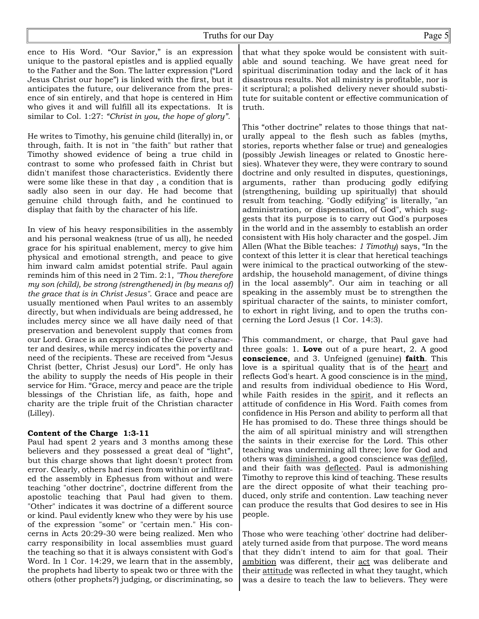ence to His Word. "Our Savior," is an expression unique to the pastoral epistles and is applied equally to the Father and the Son. The latter expression ("Lord Jesus Christ our hope") is linked with the first, but it anticipates the future, our deliverance from the presence of sin entirely, and that hope is centered in Him who gives it and will fulfill all its expectations. It is similar to Col. 1:27: *"Christ in you, the hope of glory".*

He writes to Timothy, his genuine child (literally) in, or through, faith. It is not in "the faith" but rather that Timothy showed evidence of being a true child in contrast to some who professed faith in Christ but didn't manifest those characteristics. Evidently there were some like these in that day , a condition that is sadly also seen in our day. He had become that genuine child through faith, and he continued to display that faith by the character of his life.

In view of his heavy responsibilities in the assembly and his personal weakness (true of us all), he needed grace for his spiritual enablement, mercy to give him physical and emotional strength, and peace to give him inward calm amidst potential strife. Paul again reminds him of this need in 2 Tim. 2:1, *"Thou therefore my son (child), be strong (strengthened) in (by means of) the grace that is in Christ Jesus"*. Grace and peace are usually mentioned when Paul writes to an assembly directly, but when individuals are being addressed, he includes mercy since we all have daily need of that preservation and benevolent supply that comes from our Lord. Grace is an expression of the Giver's character and desires, while mercy indicates the poverty and need of the recipients. These are received from "Jesus Christ (better, Christ Jesus) our Lord". He only has the ability to supply the needs of His people in their service for Him. "Grace, mercy and peace are the triple blessings of the Christian life, as faith, hope and charity are the triple fruit of the Christian character (Lilley).

#### **Content of the Charge 1:3-11**

Paul had spent 2 years and 3 months among these believers and they possessed a great deal of "light", but this charge shows that light doesn't protect from error. Clearly, others had risen from within or infiltrated the assembly in Ephesus from without and were teaching "other doctrine", doctrine different from the apostolic teaching that Paul had given to them. "Other" indicates it was doctrine of a different source or kind. Paul evidently knew who they were by his use of the expression "some" or "certain men." His concerns in Acts 20:29-30 were being realized. Men who carry responsibility in local assemblies must guard the teaching so that it is always consistent with God's Word. In 1 Cor. 14:29, we learn that in the assembly, the prophets had liberty to speak two or three with the others (other prophets?) judging, or discriminating, so

that what they spoke would be consistent with suitable and sound teaching. We have great need for spiritual discrimination today and the lack of it has disastrous results. Not all ministry is profitable, nor is it scriptural; a polished delivery never should substitute for suitable content or effective communication of truth.

This "other doctrine" relates to those things that naturally appeal to the flesh such as fables (myths, stories, reports whether false or true) and genealogies (possibly Jewish lineages or related to Gnostic heresies). Whatever they were, they were contrary to sound doctrine and only resulted in disputes, questionings, arguments, rather than producing godly edifying (strengthening, building up spiritually) that should result from teaching. "Godly edifying" is literally, "an administration, or dispensation, of God", which suggests that its purpose is to carry out God's purposes in the world and in the assembly to establish an order consistent with His holy character and the gospel. Jim Allen (What the Bible teaches: *1 Timothy*) says, "In the context of this letter it is clear that heretical teachings were inimical to the practical outworking of the stewardship, the household management, of divine things in the local assembly". Our aim in teaching or all speaking in the assembly must be to strengthen the spiritual character of the saints, to minister comfort, to exhort in right living, and to open the truths concerning the Lord Jesus (1 Cor. 14:3).

This commandment, or charge, that Paul gave had three goals: 1. **Love** out of a pure heart, 2. A good **conscience**, and 3. Unfeigned (genuine) **faith**. This love is a spiritual quality that is of the heart and reflects God's heart. A good conscience is in the mind, and results from individual obedience to His Word, while Faith resides in the spirit, and it reflects an attitude of confidence in His Word. Faith comes from confidence in His Person and ability to perform all that He has promised to do. These three things should be the aim of all spiritual ministry and will strengthen the saints in their exercise for the Lord. This other teaching was undermining all three; love for God and others was diminished, a good conscience was defiled, and their faith was deflected. Paul is admonishing Timothy to reprove this kind of teaching. These results are the direct opposite of what their teaching produced, only strife and contention. Law teaching never can produce the results that God desires to see in His people.

Those who were teaching 'other' doctrine had deliberately turned aside from that purpose. The word means that they didn't intend to aim for that goal. Their ambition was different, their act was deliberate and their attitude was reflected in what they taught, which was a desire to teach the law to believers. They were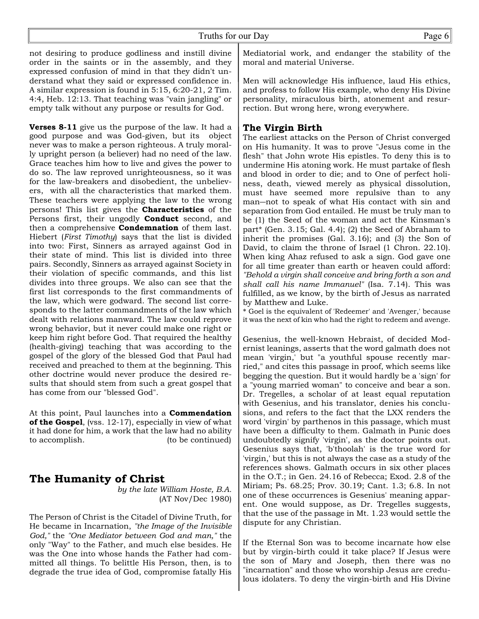not desiring to produce godliness and instill divine order in the saints or in the assembly, and they expressed confusion of mind in that they didn't understand what they said or expressed confidence in. A similar expression is found in 5:15, 6:20-21, 2 Tim. 4:4, Heb. 12:13. That teaching was "vain jangling" or empty talk without any purpose or results for God.

**Verses 8-11** give us the purpose of the law. It had a good purpose and was God-given, but its object never was to make a person righteous. A truly morally upright person (a believer) had no need of the law. Grace teaches him how to live and gives the power to do so. The law reproved unrighteousness, so it was for the law-breakers and disobedient, the unbelievers, with all the characteristics that marked them. These teachers were applying the law to the wrong persons! This list gives the **Characteristics** of the Persons first, their ungodly **Conduct** second, and then a comprehensive **Condemnation** of them last. Hiebert (*First Timothy*) says that the list is divided into two: First, Sinners as arrayed against God in their state of mind. This list is divided into three pairs. Secondly, Sinners as arrayed against Society in their violation of specific commands, and this list divides into three groups. We also can see that the first list corresponds to the first commandments of the law, which were godward. The second list corresponds to the latter commandments of the law which dealt with relations manward. The law could reprove wrong behavior, but it never could make one right or keep him right before God. That required the healthy (health-giving) teaching that was according to the gospel of the glory of the blessed God that Paul had received and preached to them at the beginning. This other doctrine would never produce the desired results that should stem from such a great gospel that has come from our "blessed God".

At this point, Paul launches into a **Commendation of the Gospel**, (vss. 12-17), especially in view of what it had done for him, a work that the law had no ability to accomplish. (to be continued)

#### **The Humanity of Christ**

*by the late William Hoste, B.A.* (AT Nov/Dec 1980)

The Person of Christ is the Citadel of Divine Truth, for He became in Incarnation, *"the Image of the Invisible God,"* the *"One Mediator between God and man,"* the only "Way" to the Father, and much else besides. He was the One into whose hands the Father had committed all things. To belittle His Person, then, is to degrade the true idea of God, compromise fatally His

Mediatorial work, and endanger the stability of the moral and material Universe.

Men will acknowledge His influence, laud His ethics, and profess to follow His example, who deny His Divine personality, miraculous birth, atonement and resurrection. But wrong here, wrong everywhere.

#### **The Virgin Birth**

The earliest attacks on the Person of Christ converged on His humanity. It was to prove "Jesus come in the flesh" that John wrote His epistles. To deny this is to undermine His atoning work. He must partake of flesh and blood in order to die; and to One of perfect holiness, death, viewed merely as physical dissolution, must have seemed more repulsive than to any man―not to speak of what His contact with sin and separation from God entailed. He must be truly man to be (1) the Seed of the woman and act the Kinsman's part\* (Gen. 3.15; Gal. 4.4); (2) the Seed of Abraham to inherit the promises (Gal. 3.16); and (3) the Son of David, to claim the throne of Israel (1 Chron. 22.10). When king Ahaz refused to ask a sign. God gave one for all time greater than earth or heaven could afford: *"Behold a virgin shall conceive and bring forth a son and shall call his name Immanuel"* (Isa. 7.14). This was fulfilled, as we know, by the birth of Jesus as narrated by Matthew and Luke.

\* Goel is the equivalent of 'Redeemer' and 'Avenger,' because it was the next of kin who had the right to redeem and avenge.

Gesenius, the well-known Hebraist, of decided Modernist leanings, asserts that the word galmath does not mean 'virgin,' but "a youthful spouse recently married," and cites this passage in proof, which seems like begging the question. But it would hardly be a 'sign' for a "young married woman" to conceive and bear a son. Dr. Tregelles, a scholar of at least equal reputation with Gesenius, and his translator, denies his conclusions, and refers to the fact that the LXX renders the word 'virgin' by parthenos in this passage, which must have been a difficulty to them. Galmath in Punic does undoubtedly signify 'virgin', as the doctor points out. Gesenius says that, 'b'thoolah' is the true word for 'virgin,' but this is not always the case as a study of the references shows. Galmath occurs in six other places in the O.T.; in Gen. 24.16 of Rebecca; Exod. 2.8 of the Miriam; Ps. 68.25; Prov. 30.19; Cant. 1.3; 6.8. In not one of these occurrences is Gesenius' meaning apparent. One would suppose, as Dr. Tregelles suggests, that the use of the passage in Mt. 1.23 would settle the dispute for any Christian.

If the Eternal Son was to become incarnate how else but by virgin-birth could it take place? If Jesus were the son of Mary and Joseph, then there was no "incarnation" and those who worship Jesus are credulous idolaters. To deny the virgin-birth and His Divine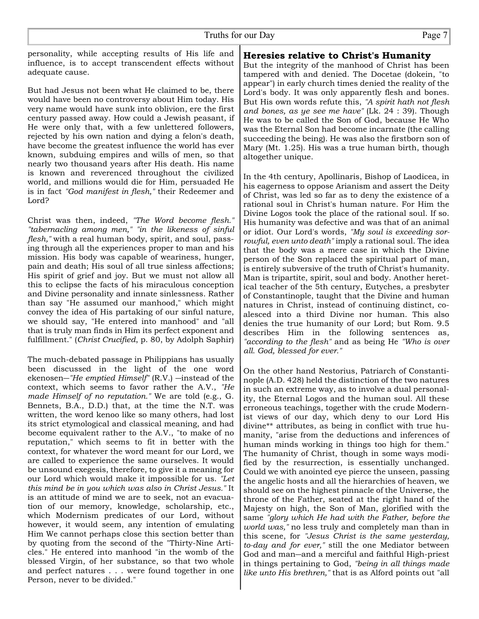personality, while accepting results of His life and influence, is to accept transcendent effects without adequate cause.

But had Jesus not been what He claimed to be, there would have been no controversy about Him today. His very name would have sunk into oblivion, ere the first century passed away. How could a Jewish peasant, if He were only that, with a few unlettered followers, rejected by his own nation and dying a felon's death, have become the greatest influence the world has ever known, subduing empires and wills of men, so that nearly two thousand years after His death. His name is known and reverenced throughout the civilized world, and millions would die for Him, persuaded He is in fact *"God manifest in flesh,"* their Redeemer and Lord?

Christ was then, indeed, *"The Word become flesh." "tabernacling among men," "in the likeness of sinful flesh,"* with a real human body, spirit, and soul, passing through all the experiences proper to man and his mission. His body was capable of weariness, hunger, pain and death; His soul of all true sinless affections; His spirit of grief and joy. But we must not allow all this to eclipse the facts of his miraculous conception and Divine personality and innate sinlessness. Rather than say "He assumed our manhood," which might convey the idea of His partaking of our sinful nature, we should say, "He entered into manhood" and "all that is truly man finds in Him its perfect exponent and fulfillment." (*Christ Crucified*, p. 80, by Adolph Saphir)

The much-debated passage in Philippians has usually been discussed in the light of the one word ekenosen―*"He emptied Himself"* (R.V.) ―instead of the context, which seems to favor rather the A.V., *"He made Himself of no reputation."* We are told (e.g., G. Bennets, B.A., D.D.) that, at the time the N.T. was written, the word kenoo like so many others, had lost its strict etymological and classical meaning, and had become equivalent rather to the A.V., "to make of no reputation," which seems to fit in better with the context, for whatever the word meant for our Lord, we are called to experience the same ourselves. It would be unsound exegesis, therefore, to give it a meaning for our Lord which would make it impossible for us. *"Let this mind be in you which was also in Christ Jesus."* It is an attitude of mind we are to seek, not an evacuation of our memory, knowledge, scholarship, etc., which Modernism predicates of our Lord, without however, it would seem, any intention of emulating Him We cannot perhaps close this section better than by quoting from the second of the "Thirty-Nine Articles." He entered into manhood "in the womb of the blessed Virgin, of her substance, so that two whole and perfect natures . . . were found together in one Person, never to be divided."

**Heresies relative to Christ's Humanity**

But the integrity of the manhood of Christ has been tampered with and denied. The Docetae (dokein, "to appear") in early church times denied the reality of the Lord's body. It was only apparently flesh and bones. But His own words refute this, *"A spirit hath not flesh and bones, as ye see me have"* (Lk. 24 : 39). Though He was to be called the Son of God, because He Who was the Eternal Son had become incarnate (the calling succeeding the being). He was also the firstborn son of Mary (Mt. 1.25). His was a true human birth, though altogether unique.

In the 4th century, Apollinaris, Bishop of Laodicea, in his eagerness to oppose Arianism and assert the Deity of Christ, was led so far as to deny the existence of a rational soul in Christ's human nature. For Him the Divine Logos took the place of the rational soul. If so. His humanity was defective and was that of an animal or idiot. Our Lord's words, *"My soul is exceeding sorrowful, even unto death"* imply a rational soul. The idea that the body was a mere case in which the Divine person of the Son replaced the spiritual part of man, is entirely subversive of the truth of Christ's humanity. Man is tripartite, spirit, soul and body. Another heretical teacher of the 5th century, Eutyches, a presbyter of Constantinople, taught that the Divine and human natures in Christ, instead of continuing distinct, coalesced into a third Divine nor human. This also denies the true humanity of our Lord; but Rom. 9.5 describes Him in the following sentences as, *"according to the flesh"* and as being He *"Who is over all. God, blessed for ever."*

On the other hand Nestorius, Patriarch of Constantinople (A.D. 428) held the distinction of the two natures in such an extreme way, as to involve a dual personality, the Eternal Logos and the human soul. All these erroneous teachings, together with the crude Modernist views of our day, which deny to our Lord His divine\*\* attributes, as being in conflict with true humanity, "arise from the deductions and inferences of human minds working in things too high for them." The humanity of Christ, though in some ways modified by the resurrection, is essentially unchanged. Could we with anointed eye pierce the unseen, passing the angelic hosts and all the hierarchies of heaven, we should see on the highest pinnacle of the Universe, the throne of the Father, seated at the right hand of the Majesty on high, the Son of Man, glorified with the same *"glory which He had with the Father, before the world was,"* no less truly and completely man than in this scene, for *"Jesus Christ is the same yesterday, to-day and for ever,"* still the one Mediator between God and man-and a merciful and faithful High-priest in things pertaining to God, *"being in all things made like unto His brethren,"* that is as Alford points out "all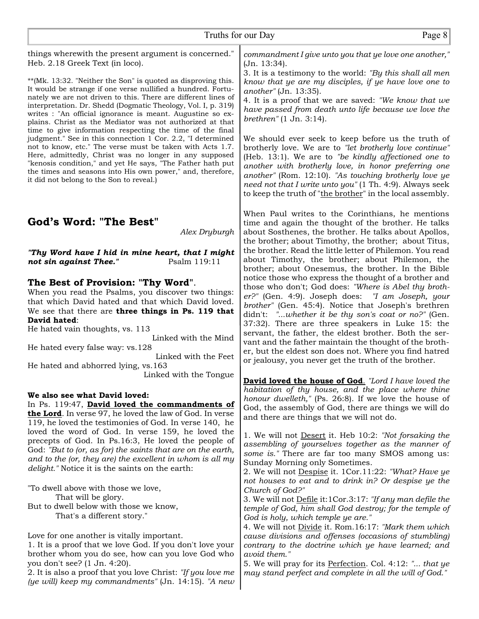things wherewith the present argument is concerned." Heb. 2.18 Greek Text (in loco).

\*\*(Mk. 13:32. "Neither the Son" is quoted as disproving this. It would be strange if one verse nullified a hundred. Fortunately we are not driven to this. There are different lines of interpretation. Dr. Shedd (Dogmatic Theology, Vol. I, p. 319) writes : "An official ignorance is meant. Augustine so explains. Christ as the Mediator was not authorized at that time to give information respecting the time of the final judgment." See in this connection 1 Cor. 2.2, "I determined not to know, etc." The verse must be taken with Acts 1.7. Here, admittedly, Christ was no longer in any supposed "kenosis condition," and yet He says, "The Father hath put the times and seasons into His own power," and, therefore, it did not belong to the Son to reveal.)

#### **God's Word: "The Best"**

*Alex Dryburgh*

*"Thy Word have I hid in mine heart, that I might not sin against Thee."* Psalm 119:11

#### **The Best of Provision: "Thy Word"**.

When you read the Psalms, you discover two things: that which David hated and that which David loved. We see that there are **three things in Ps. 119 that David hated**:

He hated vain thoughts, vs. 113

 Linked with the Mind He hated every false way: vs.128 Linked with the Feet

He hated and abhorred lying, vs.163 Linked with the Tongue

#### **We also see what David loved:**

In Ps. 119:47, **David loved the commandments of the Lord**. In verse 97, he loved the law of God. In verse 119, he loved the testimonies of God. In verse 140, he loved the word of God. In verse 159, he loved the precepts of God. In Ps.16:3, He loved the people of God: *"But to (or, as for) the saints that are on the earth, and to the (or, they are) the excellent in whom is all my delight."* Notice it is the saints on the earth:

"To dwell above with those we love, That will be glory. But to dwell below with those we know, That's a different story."

Love for one another is vitally important.

1. It is a proof that we love God. If you don't love your brother whom you do see, how can you love God who you don't see? (1 Jn. 4:20).

2. It is also a proof that you love Christ: *"If you love me (ye will) keep my commandments"* (Jn. 14:15). *"A new*

*commandment I give unto you that ye love one another,"* (Jn. 13:34).

3. It is a testimony to the world: *"By this shall all men know that ye are my disciples, if ye have love one to another"* (Jn. 13:35).

4. It is a proof that we are saved: *"We know that we have passed from death unto life because we love the brethren"* (1 Jn. 3:14).

We should ever seek to keep before us the truth of brotherly love. We are to *"let brotherly love continue"* (Heb. 13:1). We are to *"be kindly affectioned one to another with brotherly love, in honor preferring one another"* (Rom. 12:10). *"As touching brotherly love ye need not that I write unto you"* (1 Th. 4:9). Always seek to keep the truth of "the brother" in the local assembly.

When Paul writes to the Corinthians, he mentions time and again the thought of the brother. He talks about Sosthenes, the brother. He talks about Apollos, the brother; about Timothy, the brother; about Titus, the brother. Read the little letter of Philemon. You read about Timothy, the brother; about Philemon, the brother; about Onesemus, the brother. In the Bible notice those who express the thought of a brother and those who don't; God does: *"Where is Abel thy brother?"* (Gen. 4:9). Joseph does: *"I am Joseph, your brother"* (Gen. 45:4). Notice that Joseph's brethren didn't: *"...whether it be thy son's coat or no?"* (Gen. 37:32). There are three speakers in Luke 15: the servant, the father, the eldest brother. Both the servant and the father maintain the thought of the brother, but the eldest son does not. Where you find hatred or jealousy, you never get the truth of the brother.

**David loved the house of God**. *"Lord I have loved the habitation of thy house, and the place where thine honour dwelleth,"* (Ps. 26:8). If we love the house of God, the assembly of God, there are things we will do and there are things that we will not do.

1. We will not Desert it. Heb 10:2: *"Not forsaking the assembling of yourselves together as the manner of some is."* There are far too many SMOS among us: Sunday Morning only Sometimes.

2. We will not Despise it. 1Cor.11:22: *"What? Have ye not houses to eat and to drink in? Or despise ye the Church of God?"*

3. We will not Defile it:1Cor.3:17: *"If any man defile the temple of God, him shall God destroy; for the temple of God is holy, which temple ye are."*

4. We will not Divide it. Rom.16:17: *"Mark them which cause divisions and offenses (occasions of stumbling) contrary to the doctrine which ye have learned; and avoid them."*

5. We will pray for its Perfection. Col. 4:12: *"... that ye may stand perfect and complete in all the will of God."*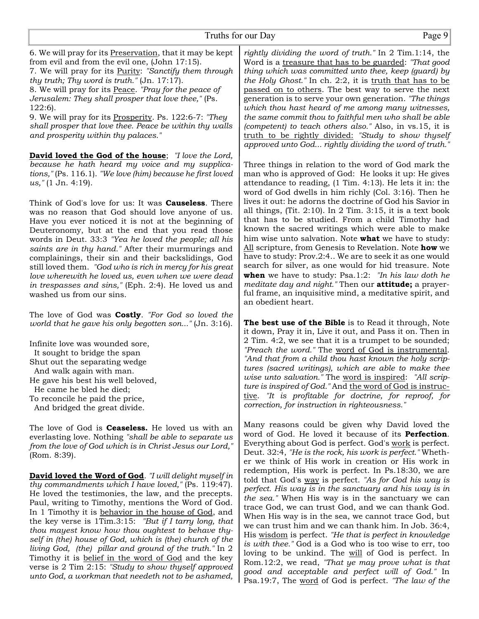Truths for our Day Page 9 6. We will pray for its Preservation, that it may be kept from evil and from the evil one, (John 17:15). 7. We will pray for its Purity: *"Sanctify them through thy truth; Thy word is truth."* (Jn. 17:17). 8. We will pray for its Peace. *"Pray for the peace of Jerusalem: They shall prosper that love thee,"* (Ps. 122:6). 9. We will pray for its Prosperity. Ps. 122:6-7: *"They shall prosper that love thee. Peace be within thy walls and prosperity within thy palaces."* **David loved the God of the house**; *"I love the Lord, because he hath heard my voice and my supplications,"* (Ps. 116.1). *"We love (him) because he first loved us,"* (1 Jn. 4:19). Think of God's love for us: It was **Causeless**. There was no reason that God should love anyone of us. Have you ever noticed it is not at the beginning of Deuteronomy, but at the end that you read those words in Deut. 33:3 *"Yea he loved the people; all his saints are in thy hand."* After their murmurings and complainings, their sin and their backslidings, God still loved them. *"God who is rich in mercy for his great love wherewith he loved us, even when we were dead in trespasses and sins,"* (Eph. 2:4). He loved us and washed us from our sins. The love of God was **Costly**. *"For God so loved the world that he gave his only begotten son..."* (Jn. 3:16). Infinite love was wounded sore, It sought to bridge the span Shut out the separating wedge And walk again with man. He gave his best his well beloved, He came he bled he died; To reconcile he paid the price, And bridged the great divide. The love of God is **Ceaseless.** He loved us with an everlasting love. Nothing *"shall be able to separate us from the love of God which is in Christ Jesus our Lord,"* (Rom. 8:39). *rightly dividing the word of truth."* In 2 Tim.1:14, the Word is a treasure that has to be guarded: *"That good thing which was committed unto thee, keep (guard) by the Holy Ghost."* In ch. 2:2, it is truth that has to be passed on to others. The best way to serve the next generation is to serve your own generation. *"The things which thou hast heard of me among many witnesses, the same commit thou to faithful men who shall be able (competent) to teach others also."* Also, in vs.15, it is truth to be rightly divided: *"Study to show thyself approved unto God... rightly dividing the word of truth."* Three things in relation to the word of God mark the man who is approved of God: He looks it up: He gives attendance to reading, (1 Tim. 4:13). He lets it in: the word of God dwells in him richly (Col. 3:16). Then he lives it out: he adorns the doctrine of God his Savior in all things,  $(Tit. 2:10)$ . In  $2$  Tim.  $3:15$ , it is a text book that has to be studied. From a child Timothy had known the sacred writings which were able to make him wise unto salvation. Note **what** we have to study: All scripture, from Genesis to Revelation. Note **how** we have to study: Prov.2:4.. We are to seek it as one would search for silver, as one would for hid treasure. Note **when** we have to study: Psa.1:2: *"In his law doth he meditate day and night."* Then our **attitude;** a prayerful frame, an inquisitive mind, a meditative spirit, and an obedient heart. **The best use of the Bible** is to Read it through, Note it down, Pray it in, Live it out, and Pass it on. Then in 2 Tim. 4:2, we see that it is a trumpet to be sounded; *"Preach the word."* The word of God is instrumental. *"And that from a child thou hast known the holy scriptures (sacred writings), which are able to make thee correction, for instruction in righteousness."*

**David loved the Word of God**. *"I will delight myself in thy commandments which I have loved,"* (Ps. 119:47). He loved the testimonies, the law, and the precepts. Paul, writing to Timothy, mentions the Word of God. In 1 Timothy it is behavior in the house of God, and the key verse is 1Tim.3:15: *"But if I tarry long, that thou mayest know how thou oughtest to behave thyself in (the) house of God, which is (the) church of the living God, (the) pillar and ground of the truth."* In 2 Timothy it is belief in the word of God and the key verse is 2 Tim 2:15: *"Study to show thyself approved unto God, a workman that needeth not to be ashamed,*

*wise unto salvation."* The word is inspired: *"All scripture is inspired of God."* And the word of God is instructive. *"It is profitable for doctrine, for reproof, for*

Many reasons could be given why David loved the word of God. He loved it because of its **Perfection**. Everything about God is perfect. God's work is perfect. Deut. 32:4, *"He is the rock, his work is perfect."* Whether we think of His work in creation or His work in redemption, His work is perfect. In Ps.18:30, we are told that God's way is perfect. *"As for God his way is perfect. His way is in the sanctuary and his way is in the sea."* When His way is in the sanctuary we can trace God, we can trust God, and we can thank God. When His way is in the sea, we cannot trace God, but we can trust him and we can thank him. In Job. 36:4, His wisdom is perfect. *"He that is perfect in knowledge is with thee."* God is a God who is too wise to err, too loving to be unkind. The will of God is perfect. In Rom.12:2, we read, *"That ye may prove what is that good and acceptable and perfect will of God."* In Psa.19:7, The word of God is perfect. *"The law of the*